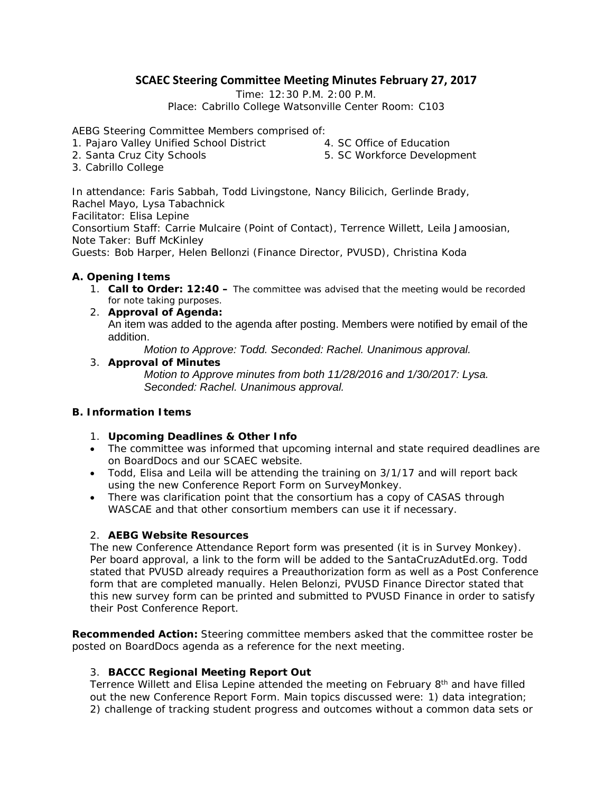# **SCAEC Steering Committee Meeting Minutes February 27, 2017**

Time: 12:30 P.M. 2:00 P.M.

Place: Cabrillo College Watsonville Center Room: C103

AEBG Steering Committee Members comprised of:

- 1. Pajaro Valley Unified School District 4. SC Office of Education
- 2. Santa Cruz City Schools

5. SC Workforce Development

3. Cabrillo College

In attendance: Faris Sabbah, Todd Livingstone, Nancy Bilicich, Gerlinde Brady, Rachel Mayo, Lysa Tabachnick

Facilitator: Elisa Lepine

Consortium Staff: Carrie Mulcaire (Point of Contact), Terrence Willett, Leila Jamoosian, Note Taker: Buff McKinley

Guests: Bob Harper, Helen Bellonzi (Finance Director, PVUSD), Christina Koda

### **A. Opening Items**

- 1. **Call to Order: 12:40** *The committee was advised that the meeting would be recorded for note taking purposes.*
- 2. **Approval of Agenda:** An item was added to the agenda after posting. Members were notified by email of the addition.

*Motion to Approve: Todd. Seconded: Rachel. Unanimous approval.*

### 3. **Approval of Minutes**

*Motion to Approve minutes from both 11/28/2016 and 1/30/2017: Lysa. Seconded: Rachel. Unanimous approval.*

### **B. Information Items**

- 1. **Upcoming Deadlines & Other Info**
- The committee was informed that upcoming internal and state required deadlines are on BoardDocs and our SCAEC website.
- Todd, Elisa and Leila will be attending the training on 3/1/17 and will report back using the new Conference Report Form on SurveyMonkey.
- There was clarification point that the consortium has a copy of CASAS through WASCAE and that other consortium members can use it if necessary.

### 2. **AEBG Website Resources**

The new Conference Attendance Report form was presented (it is in Survey Monkey). Per board approval, a link to the form will be added to the SantaCruzAdutEd.org. Todd stated that PVUSD already requires a Preauthorization form as well as a Post Conference form that are completed manually. Helen Belonzi, PVUSD Finance Director stated that this new survey form can be printed and submitted to PVUSD Finance in order to satisfy their Post Conference Report.

**Recommended Action:** Steering committee members asked that the committee roster be posted on BoardDocs agenda as a reference for the next meeting.

### 3. **BACCC Regional Meeting Report Out**

Terrence Willett and Elisa Lepine attended the meeting on February  $8<sup>th</sup>$  and have filled out the new Conference Report Form. Main topics discussed were: 1) data integration; 2) challenge of tracking student progress and outcomes without a common data sets or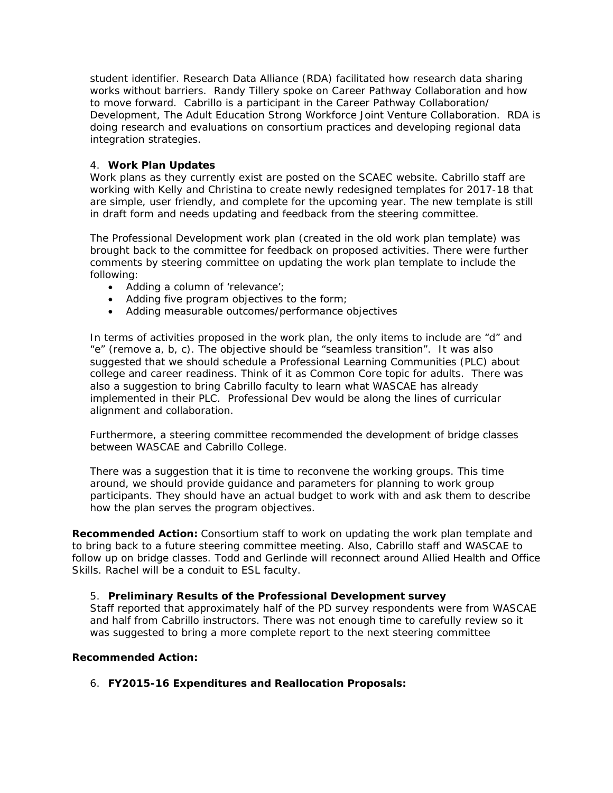student identifier. Research Data Alliance (RDA) facilitated how research data sharing works without barriers. Randy Tillery spoke on Career Pathway Collaboration and how to move forward. Cabrillo is a participant in the Career Pathway Collaboration/ Development, The Adult Education Strong Workforce Joint Venture Collaboration. RDA is doing research and evaluations on consortium practices and developing regional data integration strategies.

### 4. **Work Plan Updates**

Work plans as they currently exist are posted on the SCAEC website. Cabrillo staff are working with Kelly and Christina to create newly redesigned templates for 2017-18 that are simple, user friendly, and complete for the upcoming year. The new template is still in draft form and needs updating and feedback from the steering committee.

The Professional Development work plan (created in the old work plan template) was brought back to the committee for feedback on proposed activities. There were further comments by steering committee on updating the work plan template to include the following:

- Adding a column of 'relevance';
- Adding five program objectives to the form;
- Adding measurable outcomes/performance objectives

In terms of activities proposed in the work plan, the only items to include are "d" and "e" (remove a, b, c). The objective should be "seamless transition". It was also suggested that we should schedule a Professional Learning Communities (PLC) about college and career readiness. Think of it as Common Core topic for adults. There was also a suggestion to bring Cabrillo faculty to learn what WASCAE has already implemented in their PLC. Professional Dev would be along the lines of curricular alignment and collaboration.

Furthermore, a steering committee recommended the development of bridge classes between WASCAE and Cabrillo College.

There was a suggestion that it is time to reconvene the working groups. This time around, we should provide guidance and parameters for planning to work group participants. They should have an actual budget to work with and ask them to describe how the plan serves the program objectives.

**Recommended Action:** Consortium staff to work on updating the work plan template and to bring back to a future steering committee meeting. Also, Cabrillo staff and WASCAE to follow up on bridge classes. Todd and Gerlinde will reconnect around Allied Health and Office Skills. Rachel will be a conduit to ESL faculty.

### 5. **Preliminary Results of the Professional Development survey**

Staff reported that approximately half of the PD survey respondents were from WASCAE and half from Cabrillo instructors. There was not enough time to carefully review so it was suggested to bring a more complete report to the next steering committee

### **Recommended Action:**

6. **FY2015-16 Expenditures and Reallocation Proposals:**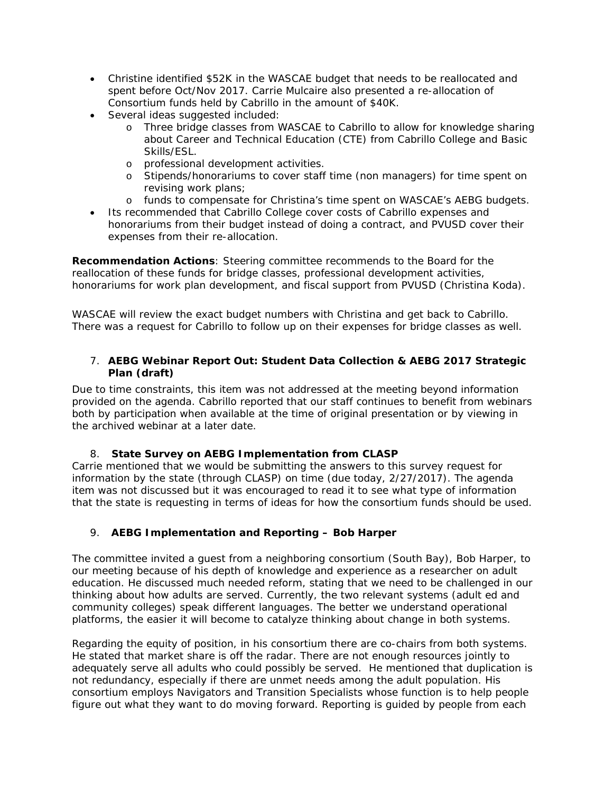- Christine identified \$52K in the WASCAE budget that needs to be reallocated and spent before Oct/Nov 2017. Carrie Mulcaire also presented a re-allocation of Consortium funds held by Cabrillo in the amount of \$40K.
- Several ideas suggested included:
	- o Three bridge classes from WASCAE to Cabrillo to allow for knowledge sharing about Career and Technical Education (CTE) from Cabrillo College and Basic Skills/ESL.
	- o professional development activities.
	- o Stipends/honorariums to cover staff time (non managers) for time spent on revising work plans;
	- o funds to compensate for Christina's time spent on WASCAE's AEBG budgets.
- Its recommended that Cabrillo College cover costs of Cabrillo expenses and honorariums from their budget instead of doing a contract, and PVUSD cover their expenses from their re-allocation.

**Recommendation Actions**: Steering committee recommends to the Board for the reallocation of these funds for bridge classes, professional development activities, honorariums for work plan development, and fiscal support from PVUSD (Christina Koda).

WASCAE will review the exact budget numbers with Christina and get back to Cabrillo. There was a request for Cabrillo to follow up on their expenses for bridge classes as well.

### 7. **AEBG Webinar Report Out: Student Data Collection & AEBG 2017 Strategic Plan (draft)**

Due to time constraints, this item was not addressed at the meeting beyond information provided on the agenda. Cabrillo reported that our staff continues to benefit from webinars both by participation when available at the time of original presentation or by viewing in the archived webinar at a later date.

# 8. **State Survey on AEBG Implementation from CLASP**

Carrie mentioned that we would be submitting the answers to this survey request for information by the state (through CLASP) on time (due today, 2/27/2017). The agenda item was not discussed but it was encouraged to read it to see what type of information that the state is requesting in terms of ideas for how the consortium funds should be used.

# 9. **AEBG Implementation and Reporting – Bob Harper**

The committee invited a guest from a neighboring consortium (South Bay), Bob Harper, to our meeting because of his depth of knowledge and experience as a researcher on adult education. He discussed much needed reform, stating that we need to be challenged in our thinking about how adults are served. Currently, the two relevant systems (adult ed and community colleges) speak different languages. The better we understand operational platforms, the easier it will become to catalyze thinking about change in both systems.

Regarding the equity of position, in his consortium there are co-chairs from both systems. He stated that market share is off the radar. There are not enough resources jointly to adequately serve all adults who could possibly be served. He mentioned that duplication is not redundancy, especially if there are unmet needs among the adult population. His consortium employs Navigators and Transition Specialists whose function is to help people figure out what they want to do moving forward. Reporting is guided by people from each